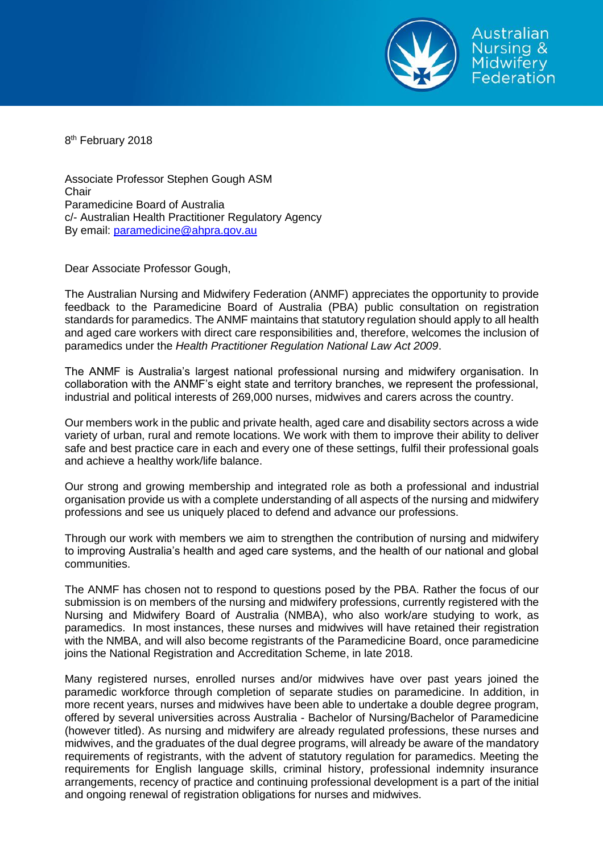

8<sup>th</sup> February 2018

Associate Professor Stephen Gough ASM **Chair** Paramedicine Board of Australia c/- Australian Health Practitioner Regulatory Agency By email: [paramedicine@ahpra.gov.au](mailto:paramedicine@ahpra.gov.au)

Dear Associate Professor Gough,

The Australian Nursing and Midwifery Federation (ANMF) appreciates the opportunity to provide feedback to the Paramedicine Board of Australia (PBA) public consultation on registration standards for paramedics. The ANMF maintains that statutory regulation should apply to all health and aged care workers with direct care responsibilities and, therefore, welcomes the inclusion of paramedics under the *Health Practitioner Regulation National Law Act 2009*.

The ANMF is Australia's largest national professional nursing and midwifery organisation. In collaboration with the ANMF's eight state and territory branches, we represent the professional, industrial and political interests of 269,000 nurses, midwives and carers across the country.

Our members work in the public and private health, aged care and disability sectors across a wide variety of urban, rural and remote locations. We work with them to improve their ability to deliver safe and best practice care in each and every one of these settings, fulfil their professional goals and achieve a healthy work/life balance.

Our strong and growing membership and integrated role as both a professional and industrial organisation provide us with a complete understanding of all aspects of the nursing and midwifery professions and see us uniquely placed to defend and advance our professions.

Through our work with members we aim to strengthen the contribution of nursing and midwifery to improving Australia's health and aged care systems, and the health of our national and global communities.

The ANMF has chosen not to respond to questions posed by the PBA. Rather the focus of our submission is on members of the nursing and midwifery professions, currently registered with the Nursing and Midwifery Board of Australia (NMBA), who also work/are studying to work, as paramedics. In most instances, these nurses and midwives will have retained their registration with the NMBA, and will also become registrants of the Paramedicine Board, once paramedicine joins the National Registration and Accreditation Scheme, in late 2018.

Many registered nurses, enrolled nurses and/or midwives have over past years joined the paramedic workforce through completion of separate studies on paramedicine. In addition, in more recent years, nurses and midwives have been able to undertake a double degree program, offered by several universities across Australia - Bachelor of Nursing/Bachelor of Paramedicine (however titled). As nursing and midwifery are already regulated professions, these nurses and midwives, and the graduates of the dual degree programs, will already be aware of the mandatory requirements of registrants, with the advent of statutory regulation for paramedics. Meeting the requirements for English language skills, criminal history, professional indemnity insurance arrangements, recency of practice and continuing professional development is a part of the initial and ongoing renewal of registration obligations for nurses and midwives.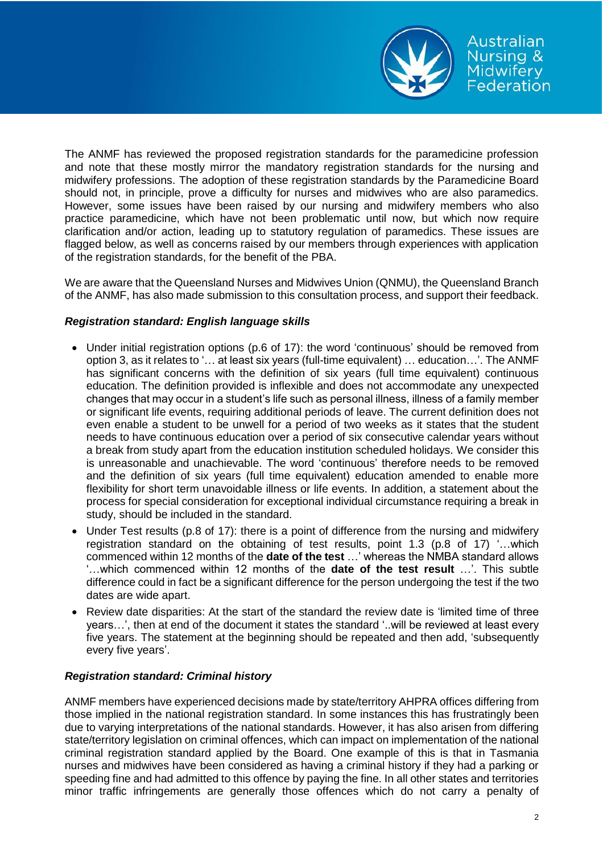

The ANMF has reviewed the proposed registration standards for the paramedicine profession and note that these mostly mirror the mandatory registration standards for the nursing and midwifery professions. The adoption of these registration standards by the Paramedicine Board should not, in principle, prove a difficulty for nurses and midwives who are also paramedics. However, some issues have been raised by our nursing and midwifery members who also practice paramedicine, which have not been problematic until now, but which now require clarification and/or action, leading up to statutory regulation of paramedics. These issues are flagged below, as well as concerns raised by our members through experiences with application of the registration standards, for the benefit of the PBA.

We are aware that the Queensland Nurses and Midwives Union (QNMU), the Queensland Branch of the ANMF, has also made submission to this consultation process, and support their feedback.

# *Registration standard: English language skills*

- Under initial registration options (p.6 of 17): the word 'continuous' should be removed from option 3, as it relates to '… at least six years (full-time equivalent) … education…'. The ANMF has significant concerns with the definition of six years (full time equivalent) continuous education. The definition provided is inflexible and does not accommodate any unexpected changes that may occur in a student's life such as personal illness, illness of a family member or significant life events, requiring additional periods of leave. The current definition does not even enable a student to be unwell for a period of two weeks as it states that the student needs to have continuous education over a period of six consecutive calendar years without a break from study apart from the education institution scheduled holidays. We consider this is unreasonable and unachievable. The word 'continuous' therefore needs to be removed and the definition of six years (full time equivalent) education amended to enable more flexibility for short term unavoidable illness or life events. In addition, a statement about the process for special consideration for exceptional individual circumstance requiring a break in study, should be included in the standard.
- Under Test results (p.8 of 17): there is a point of difference from the nursing and midwifery registration standard on the obtaining of test results, point 1.3 (p.8 of 17) '…which commenced within 12 months of the **date of the test** …' whereas the NMBA standard allows '…which commenced within 12 months of the **date of the test result** …'. This subtle difference could in fact be a significant difference for the person undergoing the test if the two dates are wide apart.
- Review date disparities: At the start of the standard the review date is 'limited time of three years…', then at end of the document it states the standard '..will be reviewed at least every five years. The statement at the beginning should be repeated and then add, 'subsequently every five years'.

# *Registration standard: Criminal history*

ANMF members have experienced decisions made by state/territory AHPRA offices differing from those implied in the national registration standard. In some instances this has frustratingly been due to varying interpretations of the national standards. However, it has also arisen from differing state/territory legislation on criminal offences, which can impact on implementation of the national criminal registration standard applied by the Board. One example of this is that in Tasmania nurses and midwives have been considered as having a criminal history if they had a parking or speeding fine and had admitted to this offence by paying the fine. In all other states and territories minor traffic infringements are generally those offences which do not carry a penalty of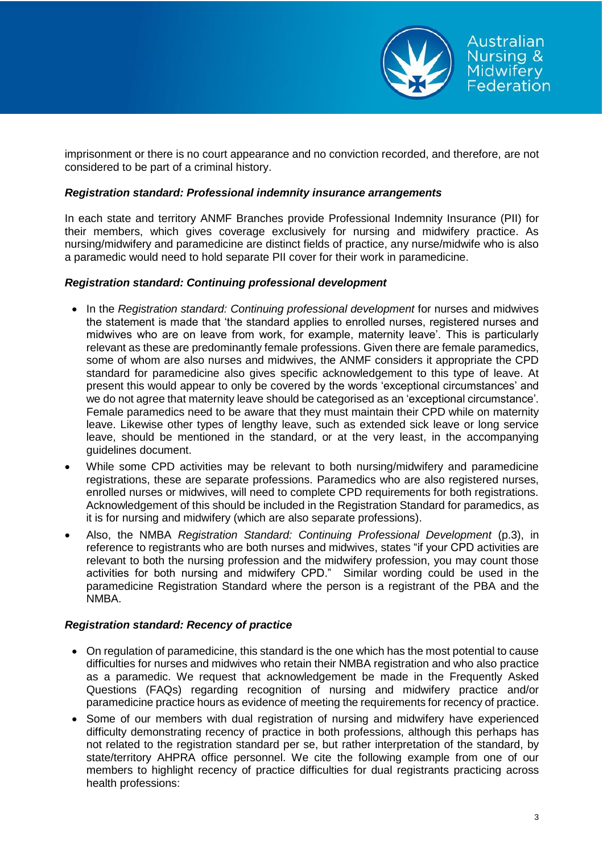

imprisonment or there is no court appearance and no conviction recorded, and therefore, are not considered to be part of a criminal history.

## *Registration standard: Professional indemnity insurance arrangements*

In each state and territory ANMF Branches provide Professional Indemnity Insurance (PII) for their members, which gives coverage exclusively for nursing and midwifery practice. As nursing/midwifery and paramedicine are distinct fields of practice, any nurse/midwife who is also a paramedic would need to hold separate PII cover for their work in paramedicine.

# *Registration standard: Continuing professional development*

- In the *Registration standard: Continuing professional development* for nurses and midwives the statement is made that 'the standard applies to enrolled nurses, registered nurses and midwives who are on leave from work, for example, maternity leave'. This is particularly relevant as these are predominantly female professions. Given there are female paramedics, some of whom are also nurses and midwives, the ANMF considers it appropriate the CPD standard for paramedicine also gives specific acknowledgement to this type of leave. At present this would appear to only be covered by the words 'exceptional circumstances' and we do not agree that maternity leave should be categorised as an 'exceptional circumstance'. Female paramedics need to be aware that they must maintain their CPD while on maternity leave. Likewise other types of lengthy leave, such as extended sick leave or long service leave, should be mentioned in the standard, or at the very least, in the accompanying guidelines document.
- While some CPD activities may be relevant to both nursing/midwifery and paramedicine registrations, these are separate professions. Paramedics who are also registered nurses, enrolled nurses or midwives, will need to complete CPD requirements for both registrations. Acknowledgement of this should be included in the Registration Standard for paramedics, as it is for nursing and midwifery (which are also separate professions).
- Also, the NMBA *Registration Standard: Continuing Professional Development* (p.3), in reference to registrants who are both nurses and midwives, states "if your CPD activities are relevant to both the nursing profession and the midwifery profession, you may count those activities for both nursing and midwifery CPD." Similar wording could be used in the paramedicine Registration Standard where the person is a registrant of the PBA and the NMBA.

# *Registration standard: Recency of practice*

- On regulation of paramedicine, this standard is the one which has the most potential to cause difficulties for nurses and midwives who retain their NMBA registration and who also practice as a paramedic. We request that acknowledgement be made in the Frequently Asked Questions (FAQs) regarding recognition of nursing and midwifery practice and/or paramedicine practice hours as evidence of meeting the requirements for recency of practice.
- Some of our members with dual registration of nursing and midwifery have experienced difficulty demonstrating recency of practice in both professions, although this perhaps has not related to the registration standard per se, but rather interpretation of the standard, by state/territory AHPRA office personnel. We cite the following example from one of our members to highlight recency of practice difficulties for dual registrants practicing across health professions: